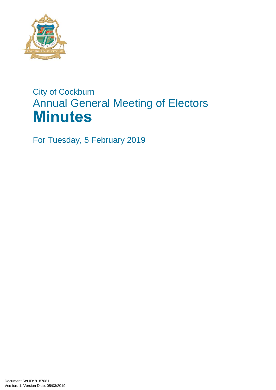

# City of Cockburn Annual General Meeting of Electors **Minutes**

For Tuesday, 5 February 2019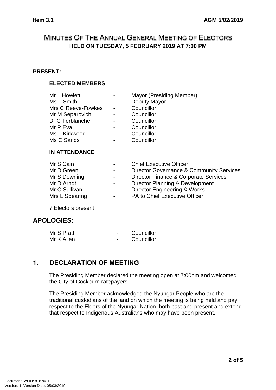# MINUTES OF THE ANNUAL GENERAL MEETING OF ELECTORS **HELD ON TUESDAY, 5 FEBRUARY 2019 AT 7:00 PM**

#### **PRESENT:**

#### **ELECTED MEMBERS**

| Mr L Howlett       | $\overline{\phantom{a}}$     | Mayor (Presiding Member) |  |
|--------------------|------------------------------|--------------------------|--|
| Ms L Smith         | -                            | Deputy Mayor             |  |
| Mrs C Reeve-Fowkes | $\overline{a}$               | Councillor               |  |
| Mr M Separovich    | $\overline{a}$               | Councillor               |  |
| Dr C Terblanche    | $\overline{a}$               | Councillor               |  |
| Mr P Eva           | $\qquad \qquad \blacksquare$ | Councillor               |  |
| Ms L Kirkwood      | -                            | Councillor               |  |
| Ms C Sands         | $\overline{a}$               | Councillor               |  |
|                    |                              |                          |  |

#### **IN ATTENDANCE**

| Mr S Cain      | $\overline{\phantom{0}}$ | <b>Chief Executive Officer</b>           |
|----------------|--------------------------|------------------------------------------|
| Mr D Green     | $\blacksquare$           | Director Governance & Community Services |
| Mr S Downing   | $\sim 100$               | Director Finance & Corporate Services    |
| Mr D Arndt     | $\sim$ $-$               | Director Planning & Development          |
| Mr C Sullivan  | $\sim$ 10 $\pm$          | <b>Director Engineering &amp; Works</b>  |
| Mrs L Spearing | $\sim 100$               | PA to Chief Executive Officer            |
|                |                          |                                          |

7 Electors present

## **APOLOGIES:**

| Mr S Pratt | Councillor |
|------------|------------|
| Mr K Allen | Councillor |

## **1. DECLARATION OF MEETING**

The Presiding Member declared the meeting open at 7:00pm and welcomed the City of Cockburn ratepayers.

The Presiding Member acknowledged the Nyungar People who are the traditional custodians of the land on which the meeting is being held and pay respect to the Elders of the Nyungar Nation, both past and present and extend that respect to Indigenous Australians who may have been present.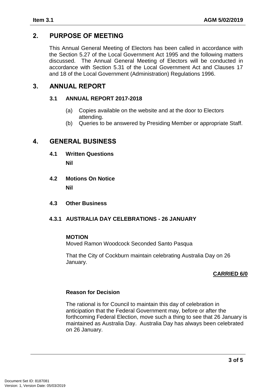# **2. PURPOSE OF MEETING**

This Annual General Meeting of Electors has been called in accordance with the Section 5.27 of the Local Government Act 1995 and the following matters discussed. The Annual General Meeting of Electors will be conducted in accordance with Section 5.31 of the Local Government Act and Clauses 17 and 18 of the Local Government (Administration) Regulations 1996.

## **3. ANNUAL REPORT**

#### **3.1 ANNUAL REPORT 2017-2018**

- (a) Copies available on the website and at the door to Electors attending.
- (b) Queries to be answered by Presiding Member or appropriate Staff.

## **4. GENERAL BUSINESS**

**4.1 Written Questions** 

**Nil**

- **4.2 Motions On Notice Nil**
- **4.3 Other Business**

#### **4.3.1 AUSTRALIA DAY CELEBRATIONS - 26 JANUARY**

#### **MOTION**

Moved Ramon Woodcock Seconded Santo Pasqua

That the City of Cockburn maintain celebrating Australia Day on 26 January.

## **CARRIED 6/0**

#### **Reason for Decision**

The rational is for Council to maintain this day of celebration in anticipation that the Federal Government may, before or after the forthcoming Federal Election, move such a thing to see that 26 January is maintained as Australia Day. Australia Day has always been celebrated on 26 January.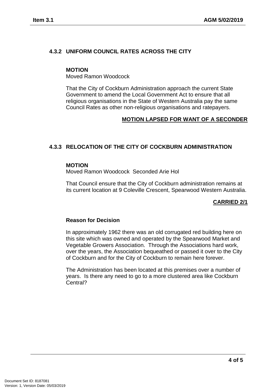### **4.3.2 UNIFORM COUNCIL RATES ACROSS THE CITY**

#### **MOTION**

Moved Ramon Woodcock

That the City of Cockburn Administration approach the current State Government to amend the Local Government Act to ensure that all religious organisations in the State of Western Australia pay the same Council Rates as other non-religious organisations and ratepayers.

#### **MOTION LAPSED FOR WANT OF A SECONDER**

#### **4.3.3 RELOCATION OF THE CITY OF COCKBURN ADMINISTRATION**

#### **MOTION**

Moved Ramon Woodcock Seconded Arie Hol

That Council ensure that the City of Cockburn administration remains at its current location at 9 Coleville Crescent, Spearwood Western Australia.

#### **CARRIED 2/1**

#### **Reason for Decision**

In approximately 1962 there was an old corrugated red building here on this site which was owned and operated by the Spearwood Market and Vegetable Growers Association. Through the Associations hard work, over the years, the Association bequeathed or passed it over to the City of Cockburn and for the City of Cockburn to remain here forever.

The Administration has been located at this premises over a number of years. Is there any need to go to a more clustered area like Cockburn Central?